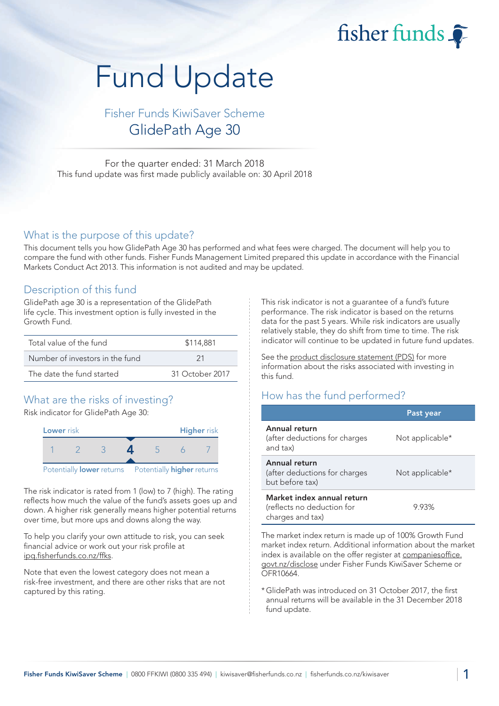fisher funds

# Fund Update

Fisher Funds KiwiSaver Scheme GlidePath Age 30

For the quarter ended: 31 March 2018 This fund update was first made publicly available on: 30 April 2018

#### What is the purpose of this update?

This document tells you how GlidePath Age 30 has performed and what fees were charged. The document will help you to compare the fund with other funds. Fisher Funds Management Limited prepared this update in accordance with the Financial Markets Conduct Act 2013. This information is not audited and may be updated.

#### Description of this fund

GlidePath age 30 is a representation of the GlidePath life cycle. This investment option is fully invested in the Growth Fund.

| Total value of the fund         | \$114,881       |  |  |
|---------------------------------|-----------------|--|--|
| Number of investors in the fund | -21             |  |  |
| The date the fund started       | 31 October 2017 |  |  |

## What are the risks of investing?

Risk indicator for GlidePath Age 30:



The risk indicator is rated from 1 (low) to 7 (high). The rating reflects how much the value of the fund's assets goes up and down. A higher risk generally means higher potential returns over time, but more ups and downs along the way.

To help you clarify your own attitude to risk, you can seek financial advice or work out your risk profile at [ipq.fisherfunds.co.nz/ffks.](https://ipq.fisherfunds.co.nz/ffks)

Note that even the lowest category does not mean a risk-free investment, and there are other risks that are not captured by this rating.

This risk indicator is not a guarantee of a fund's future performance. The risk indicator is based on the returns data for the past 5 years. While risk indicators are usually relatively stable, they do shift from time to time. The risk indicator will continue to be updated in future fund updates.

See the [product disclosure statement \(PDS\)](https://fisherfunds.co.nz/assets/PDS/Fisher-Funds-KiwiSaver-Scheme-PDS.pdf) for more information about the risks associated with investing in this fund.

### How has the fund performed?

|                                                                              | Past year       |
|------------------------------------------------------------------------------|-----------------|
| Annual return<br>(after deductions for charges<br>and tax)                   | Not applicable* |
| Annual return<br>(after deductions for charges<br>but before tax)            | Not applicable* |
| Market index annual return<br>(reflects no deduction for<br>charges and tax) | 9.93%           |

The market index return is made up of 100% Growth Fund market index return. Additional information about the market index is available on the offer register at [companiesoffice.](http://companiesoffice.govt.nz/disclose) [govt.nz/disclose](http://companiesoffice.govt.nz/disclose) under Fisher Funds KiwiSaver Scheme or OFR10664.

\*GlidePath was introduced on 31 October 2017, the first annual returns will be available in the 31 December 2018 fund update.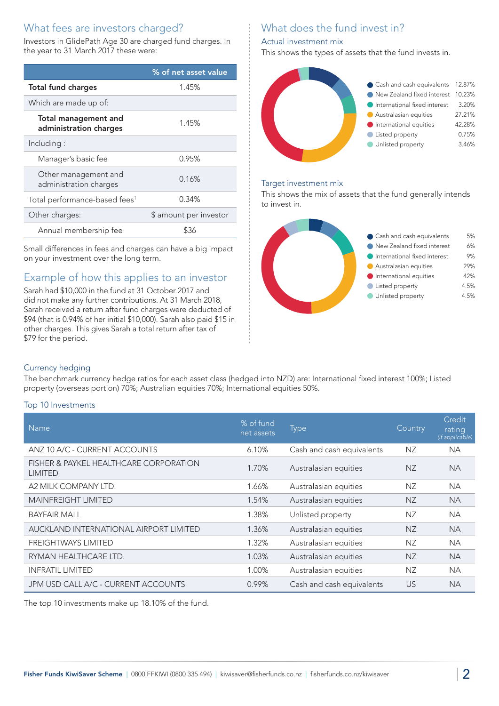## What fees are investors charged?

Investors in GlidePath Age 30 are charged fund charges. In the year to 31 March 2017 these were:

|                                                       | % of net asset value   |
|-------------------------------------------------------|------------------------|
| <b>Total fund charges</b>                             | 1.45%                  |
| Which are made up of:                                 |                        |
| <b>Total management and</b><br>administration charges | 1.45%                  |
| Including:                                            |                        |
| Manager's basic fee                                   | 0.95%                  |
| Other management and<br>administration charges        | 0.16%                  |
| Total performance-based fees <sup>1</sup>             | 0.34%                  |
| Other charges:                                        | \$ amount per investor |
| Annual membership fee                                 | \$36                   |

Small differences in fees and charges can have a big impact on your investment over the long term.

## Example of how this applies to an investor

Sarah had \$10,000 in the fund at 31 October 2017 and did not make any further contributions. At 31 March 2018, Sarah received a return after fund charges were deducted of \$94 (that is 0.94% of her initial \$10,000). Sarah also paid \$15 in other charges. This gives Sarah a total return after tax of \$79 for the period.

# What does the fund invest in?

#### Actual investment mix

This shows the types of assets that the fund invests in.



#### Target investment mix

This shows the mix of assets that the fund generally intends to invest in.



#### Currency hedging

The benchmark currency hedge ratios for each asset class (hedged into NZD) are: International fixed interest 100%; Listed property (overseas portion) 70%; Australian equities 70%; International equities 50%.

#### Top 10 Investments

| <b>Name</b>                                              | % of fund<br>net assets | <b>Type</b>               | Country   | Credit<br>rating<br>(if applicable) |
|----------------------------------------------------------|-------------------------|---------------------------|-----------|-------------------------------------|
| ANZ 10 A/C - CURRENT ACCOUNTS                            | 6.10%                   | Cash and cash equivalents | ΝZ        | <b>NA</b>                           |
| FISHER & PAYKEL HEALTHCARE CORPORATION<br><b>LIMITED</b> | 1.70%                   | Australasian equities     | <b>NZ</b> | <b>NA</b>                           |
| A2 MILK COMPANY LTD.                                     | 1.66%                   | Australasian equities     | NZ        | NA.                                 |
| <b>MAINFREIGHT LIMITED</b>                               | 1.54%                   | Australasian equities     | <b>NZ</b> | <b>NA</b>                           |
| <b>BAYFAIR MALL</b>                                      | 1.38%                   | Unlisted property         | NZ        | <b>NA</b>                           |
| AUCKLAND INTERNATIONAL AIRPORT LIMITED                   | 1.36%                   | Australasian equities     | <b>NZ</b> | <b>NA</b>                           |
| <b>FREIGHTWAYS LIMITED</b>                               | 1.32%                   | Australasian equities     | NZ        | <b>NA</b>                           |
| RYMAN HEALTHCARE LTD.                                    | 1.03%                   | Australasian equities     | <b>NZ</b> | <b>NA</b>                           |
| <b>INFRATIL LIMITED</b>                                  | 1.00%                   | Australasian equities     | <b>NZ</b> | <b>NA</b>                           |
| JPM USD CALL A/C - CURRENT ACCOUNTS                      | 0.99%                   | Cash and cash equivalents | <b>US</b> | <b>NA</b>                           |

The top 10 investments make up 18.10% of the fund.